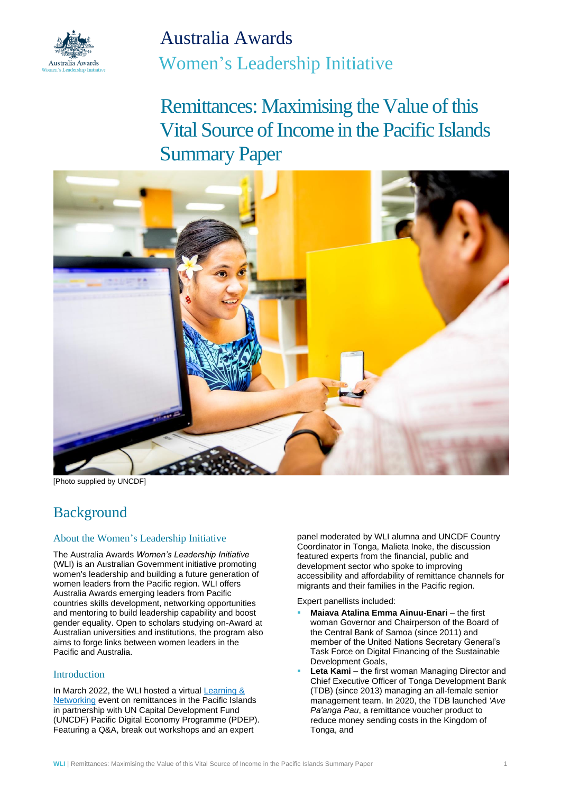

Australia Awards Women's Leadership Initiative

Remittances: Maximising the Value of this Vital Source of Income in the Pacific Islands Summary Paper



[Photo supplied by UNCDF]

# Background

## About the Women's Leadership Initiative

The Australia Awards *Women's Leadership Initiative*  (WLI) is an Australian Government initiative promoting women's leadership and building a future generation of women leaders from the Pacific region. WLI offers Australia Awards emerging leaders from Pacific countries skills development, networking opportunities and mentoring to build leadership capability and boost gender equality. Open to scholars studying on-Award at Australian universities and institutions, the program also aims to forge links between women leaders in the Pacific and Australia.

## Introduction

In March 2022, the WLI hosted a virtual [Learning &](https://womensleadershipinitiative.org.au/learning-and-networking-events/)  [Networking](https://womensleadershipinitiative.org.au/learning-and-networking-events/) event on remittances in the Pacific Islands in partnership with UN Capital Development Fund (UNCDF) Pacific Digital Economy Programme (PDEP). Featuring a Q&A, break out workshops and an expert

panel moderated by WLI alumna and UNCDF Country Coordinator in Tonga, Malieta Inoke, the discussion featured experts from the financial, public and development sector who spoke to improving accessibility and affordability of remittance channels for migrants and their families in the Pacific region.

Expert panellists included:

- **Maiava Atalina Emma Ainuu-Enari** the first woman Governor and Chairperson of the Board of the Central Bank of Samoa (since 2011) and member of the United Nations Secretary General's Task Force on Digital Financing of the Sustainable Development Goals,
- **Leta Kami** the first woman Managing Director and Chief Executive Officer of Tonga Development Bank (TDB) (since 2013) managing an all-female senior management team. In 2020, the TDB launched *'Ave Pa'anga Pau*, a remittance voucher product to reduce money sending costs in the Kingdom of Tonga, and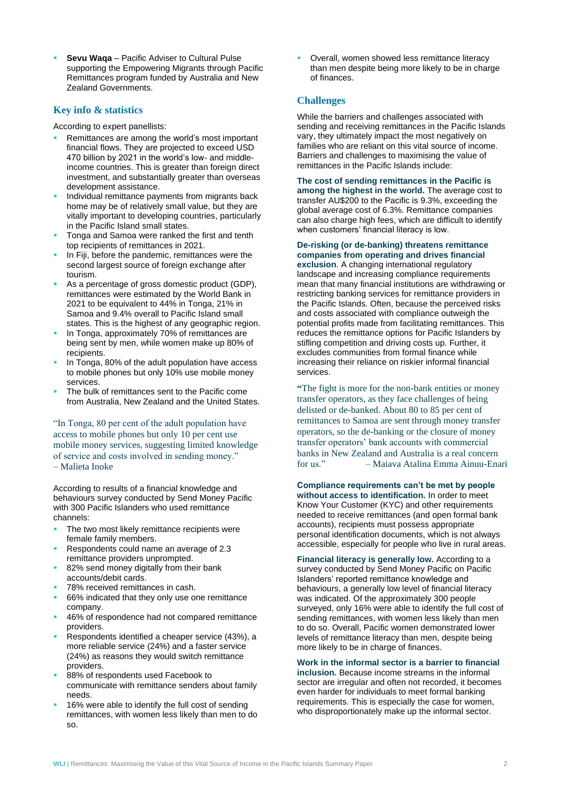**Sevu Waga** – Pacific Adviser to Cultural Pulse supporting the Empowering Migrants through Pacific Remittances program funded by Australia and New Zealand Governments.

#### **Key info & statistics**

According to expert panellists:

- Remittances are among the world's most important financial flows. They are projected to exceed USD 470 billion by 2021 in the world's low- and middleincome countries. This is greater than foreign direct investment, and substantially greater than overseas development assistance.
- Individual remittance payments from migrants back home may be of relatively small value, but they are vitally important to developing countries, particularly in the Pacific Island small states.
- Tonga and Samoa were ranked the first and tenth top recipients of remittances in 2021.
- In Fiji, before the pandemic, remittances were the second largest source of foreign exchange after tourism.
- As a percentage of gross domestic product (GDP), remittances were estimated by the World Bank in 2021 to be equivalent to 44% in Tonga, 21% in Samoa and 9.4% overall to Pacific Island small states. This is the highest of any geographic region.
- In Tonga, approximately 70% of remittances are being sent by men, while women make up 80% of recipients.
- In Tonga, 80% of the adult population have access to mobile phones but only 10% use mobile money services.
- The bulk of remittances sent to the Pacific come from Australia, New Zealand and the United States.

"In Tonga, 80 per cent of the adult population have access to mobile phones but only 10 per cent use mobile money services, suggesting limited knowledge of service and costs involved in sending money." – Malieta Inoke

According to results of a financial knowledge and behaviours survey conducted by Send Money Pacific with 300 Pacific Islanders who used remittance channels:

- The two most likely remittance recipients were female family members.
- Respondents could name an average of 2.3 remittance providers unprompted.
- 82% send money digitally from their bank accounts/debit cards.
- 78% received remittances in cash.
- 66% indicated that they only use one remittance company.
- 46% of respondence had not compared remittance providers.
- Respondents identified a cheaper service (43%), a more reliable service (24%) and a faster service (24%) as reasons they would switch remittance providers.
- 88% of respondents used Facebook to communicate with remittance senders about family needs.
- 16% were able to identify the full cost of sending remittances, with women less likely than men to do so.

Overall, women showed less remittance literacy than men despite being more likely to be in charge of finances.

#### **Challenges**

While the barriers and challenges associated with sending and receiving remittances in the Pacific Islands vary, they ultimately impact the most negatively on families who are reliant on this vital source of income. Barriers and challenges to maximising the value of remittances in the Pacific Islands include:

**The cost of sending remittances in the Pacific is among the highest in the world.** The average cost to transfer AU\$200 to the Pacific is 9.3%, exceeding the global average cost of 6.3%. Remittance companies can also charge high fees, which are difficult to identify when customers' financial literacy is low.

**De-risking (or de-banking) threatens remittance companies from operating and drives financial exclusion**. A changing international regulatory landscape and increasing compliance requirements mean that many financial institutions are withdrawing or restricting banking services for remittance providers in the Pacific Islands. Often, because the perceived risks and costs associated with compliance outweigh the potential profits made from facilitating remittances. This reduces the remittance options for Pacific Islanders by stifling competition and driving costs up. Further, it excludes communities from formal finance while increasing their reliance on riskier informal financial services.

**"**The fight is more for the non-bank entities or money transfer operators, as they face challenges of being delisted or de-banked. About 80 to 85 per cent of remittances to Samoa are sent through money transfer operators, so the de-banking or the closure of money transfer operators' bank accounts with commercial banks in New Zealand and Australia is a real concern for us." – Maiava Atalina Emma Ainuu-Enari

**Compliance requirements can't be met by people without access to identification.** In order to meet Know Your Customer (KYC) and other requirements needed to receive remittances (and open formal bank accounts), recipients must possess appropriate personal identification documents, which is not always accessible, especially for people who live in rural areas.

**Financial literacy is generally low.** According to a survey conducted by Send Money Pacific on Pacific Islanders' reported remittance knowledge and behaviours, a generally low level of financial literacy was indicated. Of the approximately 300 people surveyed, only 16% were able to identify the full cost of sending remittances, with women less likely than men to do so. Overall, Pacific women demonstrated lower levels of remittance literacy than men, despite being more likely to be in charge of finances.

**Work in the informal sector is a barrier to financial inclusion.** Because income streams in the informal sector are irregular and often not recorded, it becomes even harder for individuals to meet formal banking requirements. This is especially the case for women, who disproportionately make up the informal sector.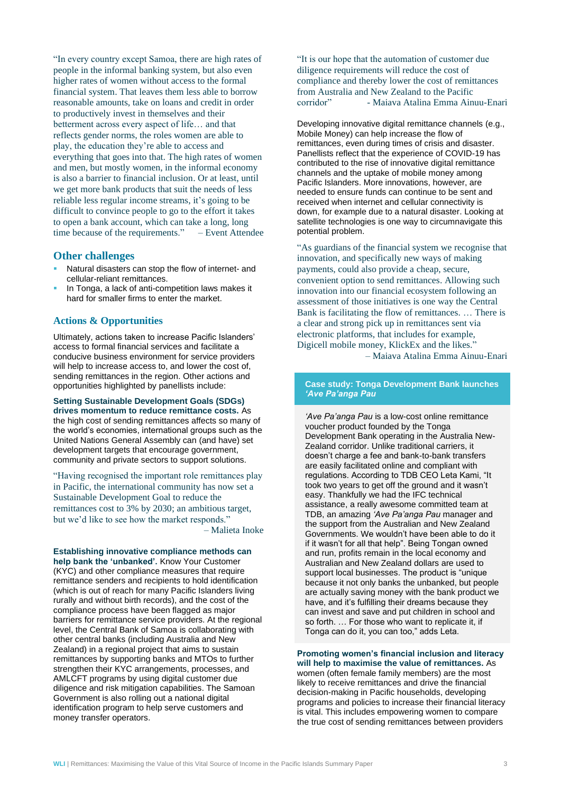"In every country except Samoa, there are high rates of people in the informal banking system, but also even higher rates of women without access to the formal financial system. That leaves them less able to borrow reasonable amounts, take on loans and credit in order to productively invest in themselves and their betterment across every aspect of life… and that reflects gender norms, the roles women are able to play, the education they're able to access and everything that goes into that. The high rates of women and men, but mostly women, in the informal economy is also a barrier to financial inclusion. Or at least, until we get more bank products that suit the needs of less reliable less regular income streams, it's going to be difficult to convince people to go to the effort it takes to open a bank account, which can take a long, long time because of the requirements." – Event Attendee

#### **Other challenges**

- Natural disasters can stop the flow of internet- and cellular-reliant remittances.
- In Tonga, a lack of anti-competition laws makes it hard for smaller firms to enter the market.

#### **Actions & Opportunities**

Ultimately, actions taken to increase Pacific Islanders' access to formal financial services and facilitate a conducive business environment for service providers will help to increase access to, and lower the cost of, sending remittances in the region. Other actions and opportunities highlighted by panellists include:

#### **Setting Sustainable Development Goals (SDGs) drives momentum to reduce remittance costs.** As the high cost of sending remittances affects so many of

the world's economies, international groups such as the United Nations General Assembly can (and have) set development targets that encourage government. community and private sectors to support solutions.

"Having recognised the important role remittances play in Pacific, the international community has now set a Sustainable Development Goal to reduce the remittances cost to 3% by 2030; an ambitious target, but we'd like to see how the market responds." – Malieta Inoke

**Establishing innovative compliance methods can help bank the 'unbanked'.** Know Your Customer (KYC) and other compliance measures that require remittance senders and recipients to hold identification (which is out of reach for many Pacific Islanders living rurally and without birth records), and the cost of the compliance process have been flagged as major barriers for remittance service providers. At the regional level, the Central Bank of Samoa is collaborating with other central banks (including Australia and New Zealand) in a regional project that aims to sustain remittances by supporting banks and MTOs to further strengthen their KYC arrangements, processes, and AMLCFT programs by using digital customer due diligence and risk mitigation capabilities. The Samoan Government is also rolling out a national digital identification program to help serve customers and money transfer operators.

"It is our hope that the automation of customer due diligence requirements will reduce the cost of compliance and thereby lower the cost of remittances from Australia and New Zealand to the Pacific corridor" - Maiava Atalina Emma Ainuu-Enari

Developing innovative digital remittance channels (e.g., Mobile Money) can help increase the flow of remittances, even during times of crisis and disaster. Panellists reflect that the experience of COVID-19 has contributed to the rise of innovative digital remittance channels and the uptake of mobile money among Pacific Islanders. More innovations, however, are needed to ensure funds can continue to be sent and received when internet and cellular connectivity is down, for example due to a natural disaster. Looking at satellite technologies is one way to circumnavigate this potential problem.

"As guardians of the financial system we recognise that innovation, and specifically new ways of making payments, could also provide a cheap, secure, convenient option to send remittances. Allowing such innovation into our financial ecosystem following an assessment of those initiatives is one way the Central Bank is facilitating the flow of remittances. … There is a clear and strong pick up in remittances sent via electronic platforms, that includes for example, Digicell mobile money, KlickEx and the likes." – Maiava Atalina Emma Ainuu-Enari

#### **Case study: Tonga Development Bank launches**  *['Ave Pa'anga Pau](https://www.tdb.to/ave-paanga-pau.html)*

*'Ave Pa'anga Pau* is a low-cost online remittance voucher product founded by the Tonga Development Bank operating in the Australia New-Zealand corridor. Unlike traditional carriers, it doesn't charge a fee and bank-to-bank transfers are easily facilitated online and compliant with regulations. According to TDB CEO Leta Kami, "It took two years to get off the ground and it wasn't easy. Thankfully we had the IFC technical assistance, a really awesome committed team at TDB, an amazing *'Ave Pa'anga Pau* manager and the support from the Australian and New Zealand Governments. We wouldn't have been able to do it if it wasn't for all that help". Being Tongan owned and run, profits remain in the local economy and Australian and New Zealand dollars are used to support local businesses. The product is "unique because it not only banks the unbanked, but people are actually saving money with the bank product we have, and it's fulfilling their dreams because they can invest and save and put children in school and so forth. … For those who want to replicate it, if Tonga can do it, you can too," adds Leta.

**Promoting women's financial inclusion and literacy will help to maximise the value of remittances.** As women (often female family members) are the most likely to receive remittances and drive the financial decision-making in Pacific households, developing programs and policies to increase their financial literacy is vital. This includes empowering women to compare the true cost of sending remittances between providers